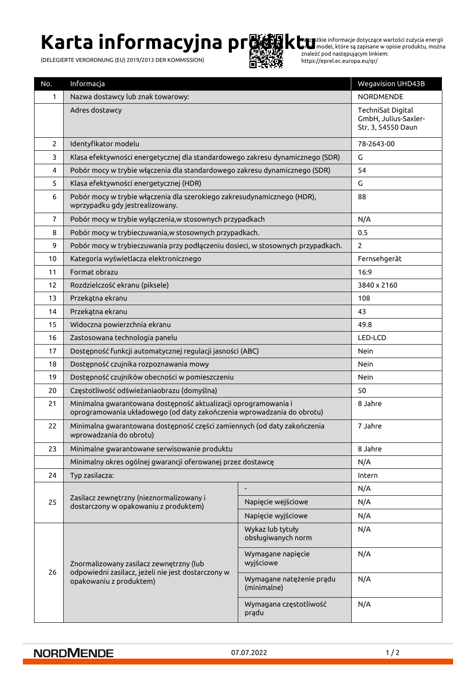# **Karta informacyjna pr隣線ktu**

(DELEGIERTE VERORDNUNG (EU) 2019/2013 DER KOMMISSION)



Wszystkie informacje dotyczące wartości zużycia energii przez model, które są zapisane w opisie produktu, można znaleźć pod następującym linkiem: https://eprel.ec.europa.eu/qr/

| No.            | Informacja                                                                                                                                |                                         | <b>Wegavision UHD43B</b>                                        |
|----------------|-------------------------------------------------------------------------------------------------------------------------------------------|-----------------------------------------|-----------------------------------------------------------------|
| 1              | Nazwa dostawcy lub znak towarowy:                                                                                                         |                                         | <b>NORDMENDE</b>                                                |
|                | Adres dostawcy                                                                                                                            |                                         | TechniSat Digital<br>GmbH, Julius-Saxler-<br>Str. 3, 54550 Daun |
| $\overline{2}$ | Identyfikator modelu                                                                                                                      |                                         | 78-2643-00                                                      |
| 3              | Klasa efektywności energetycznej dla standardowego zakresu dynamicznego (SDR)                                                             |                                         | G                                                               |
| 4              | Pobór mocy w trybie włączenia dla standardowego zakresu dynamicznego (SDR)                                                                |                                         | 54                                                              |
| 5              | Klasa efektywności energetycznej (HDR)                                                                                                    |                                         | G                                                               |
| 6              | Pobór mocy w trybie włączenia dla szerokiego zakresudynamicznego (HDR),<br>wprzypadku gdy jestrealizowany.                                |                                         | 88                                                              |
| $\overline{7}$ | Pobór mocy w trybie wyłączenia, w stosownych przypadkach                                                                                  |                                         | N/A                                                             |
| 8              | Pobór mocy w trybieczuwania, w stosownych przypadkach.                                                                                    |                                         | 0.5                                                             |
| 9              | Pobór mocy w trybieczuwania przy podłączeniu dosieci, w stosownych przypadkach.                                                           |                                         | $\overline{2}$                                                  |
| 10             | Kategoria wyświetlacza elektronicznego                                                                                                    |                                         | Fernsehgerät                                                    |
| 11             | Format obrazu                                                                                                                             |                                         | 16:9                                                            |
| 12             | Rozdzielczość ekranu (piksele)                                                                                                            |                                         | 3840 x 2160                                                     |
| 13             | Przekątna ekranu                                                                                                                          |                                         | 108                                                             |
| 14             | Przekątna ekranu                                                                                                                          |                                         | 43                                                              |
| 15             | Widoczna powierzchnia ekranu                                                                                                              |                                         | 49.8                                                            |
| 16             | Zastosowana technologia panelu                                                                                                            |                                         | LED-LCD                                                         |
| 17             | Dostępność funkcji automatycznej regulacji jasności (ABC)                                                                                 |                                         | Nein                                                            |
| 18             | Dostępność czujnika rozpoznawania mowy                                                                                                    |                                         | Nein                                                            |
| 19             | Dostępność czujników obecności w pomieszczeniu                                                                                            |                                         | Nein                                                            |
| 20             | Częstotliwość odświeżaniaobrazu (domyślna)                                                                                                |                                         | 50                                                              |
| 21             | Minimalna gwarantowana dostępność aktualizacji oprogramowania i<br>oprogramowania układowego (od daty zakończenia wprowadzania do obrotu) |                                         | 8 Jahre                                                         |
| 22             | Minimalna gwarantowana dostępność części zamiennych (od daty zakończenia<br>wprowadzania do obrotu)                                       |                                         | 7 Jahre                                                         |
| 23             | Minimalne gwarantowane serwisowanie produktu                                                                                              |                                         | 8 Jahre                                                         |
|                | Minimalny okres ogólnej gwarancji oferowanej przez dostawcę                                                                               |                                         | N/A                                                             |
| 24             | Typ zasilacza:                                                                                                                            |                                         | Intern                                                          |
|                | Zasilacz zewnętrzny (nieznormalizowany i<br>dostarczony w opakowaniu z produktem)                                                         |                                         | N/A                                                             |
| 25             |                                                                                                                                           | Napięcie wejściowe                      | N/A                                                             |
|                |                                                                                                                                           | Napięcie wyjściowe                      | N/A                                                             |
| 26             | Znormalizowany zasilacz zewnętrzny (lub<br>odpowiedni zasilacz, jeżeli nie jest dostarczony w<br>opakowaniu z produktem)                  | Wykaz lub tytuły<br>obsługiwanych norm  | N/A                                                             |
|                |                                                                                                                                           | Wymagane napięcie<br>wyjściowe          | N/A                                                             |
|                |                                                                                                                                           | Wymagane natężenie prądu<br>(minimalne) | N/A                                                             |
|                |                                                                                                                                           | Wymagana częstotliwość<br>prądu         | N/A                                                             |

#### **NORDMENDE**